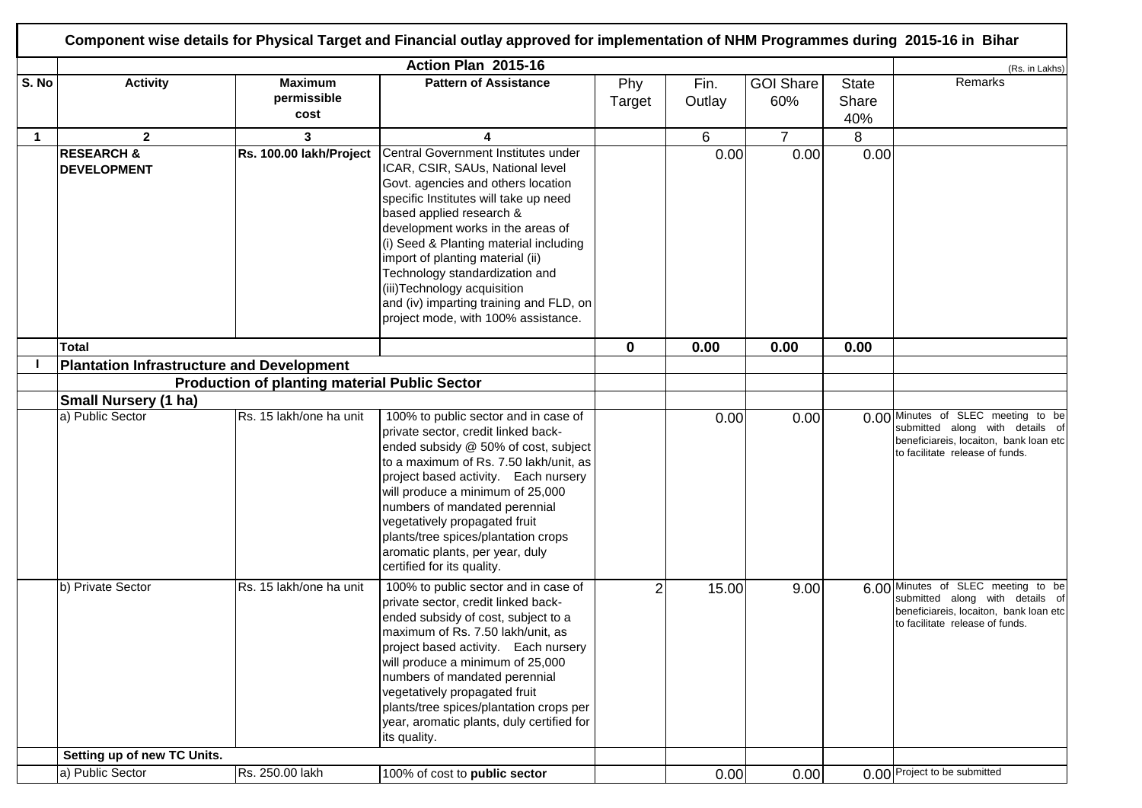|              |                                                  |                                                      | Action Plan 2015-16                                                                                                                                                                                                                                                                                                                                                                                                                                       |                |                |                         |                       | (Rs. in Lakhs)                                                                                                                                     |
|--------------|--------------------------------------------------|------------------------------------------------------|-----------------------------------------------------------------------------------------------------------------------------------------------------------------------------------------------------------------------------------------------------------------------------------------------------------------------------------------------------------------------------------------------------------------------------------------------------------|----------------|----------------|-------------------------|-----------------------|----------------------------------------------------------------------------------------------------------------------------------------------------|
| S. No        | <b>Activity</b>                                  | <b>Maximum</b><br>permissible<br>cost                | <b>Pattern of Assistance</b>                                                                                                                                                                                                                                                                                                                                                                                                                              | Phy<br>Target  | Fin.<br>Outlay | <b>GOI Share</b><br>60% | State<br>Share<br>40% | Remarks                                                                                                                                            |
| $\mathbf{1}$ | $\mathbf{2}$                                     | 3                                                    |                                                                                                                                                                                                                                                                                                                                                                                                                                                           |                | 6              | $\overline{7}$          | 8                     |                                                                                                                                                    |
|              | <b>RESEARCH &amp;</b><br><b>DEVELOPMENT</b>      | Rs. 100.00 lakh/Project                              | Central Government Institutes under<br>ICAR, CSIR, SAUs, National level<br>Govt. agencies and others location<br>specific Institutes will take up need<br>based applied research &<br>development works in the areas of<br>(i) Seed & Planting material including<br>import of planting material (ii)<br>Technology standardization and<br>(iii) Technology acquisition<br>and (iv) imparting training and FLD, on<br>project mode, with 100% assistance. |                | 0.00           | 0.00                    | 0.00                  |                                                                                                                                                    |
|              | <b>Total</b>                                     |                                                      |                                                                                                                                                                                                                                                                                                                                                                                                                                                           | $\mathbf 0$    | 0.00           | 0.00                    | 0.00                  |                                                                                                                                                    |
|              | <b>Plantation Infrastructure and Development</b> |                                                      |                                                                                                                                                                                                                                                                                                                                                                                                                                                           |                |                |                         |                       |                                                                                                                                                    |
|              |                                                  | <b>Production of planting material Public Sector</b> |                                                                                                                                                                                                                                                                                                                                                                                                                                                           |                |                |                         |                       |                                                                                                                                                    |
|              | <b>Small Nursery (1 ha)</b>                      |                                                      |                                                                                                                                                                                                                                                                                                                                                                                                                                                           |                |                |                         |                       |                                                                                                                                                    |
|              | a) Public Sector                                 | Rs. 15 lakh/one ha unit                              | 100% to public sector and in case of<br>private sector, credit linked back-<br>ended subsidy @ 50% of cost, subject<br>to a maximum of Rs. 7.50 lakh/unit, as<br>project based activity. Each nursery<br>will produce a minimum of 25,000<br>numbers of mandated perennial<br>vegetatively propagated fruit<br>plants/tree spices/plantation crops<br>aromatic plants, per year, duly<br>certified for its quality.                                       |                | 0.00           | 0.00                    |                       | 0.00 Minutes of SLEC meeting to be<br>submitted along with details of<br>beneficiareis, locaiton, bank loan etc<br>to facilitate release of funds. |
|              | b) Private Sector                                | Rs. 15 lakh/one ha unit                              | 100% to public sector and in case of<br>private sector, credit linked back-<br>ended subsidy of cost, subject to a<br>maximum of Rs. 7.50 lakh/unit, as<br>project based activity. Each nursery<br>will produce a minimum of 25,000<br>numbers of mandated perennial<br>vegetatively propagated fruit<br>plants/tree spices/plantation crops per<br>year, aromatic plants, duly certified for<br>its quality.                                             | $\overline{2}$ | 15.00          | 9.00                    |                       | 6.00 Minutes of SLEC meeting to be<br>submitted along with details of<br>beneficiareis, locaiton, bank loan etc<br>to facilitate release of funds. |
|              | Setting up of new TC Units.                      |                                                      |                                                                                                                                                                                                                                                                                                                                                                                                                                                           |                |                |                         |                       |                                                                                                                                                    |
|              | a) Public Sector                                 | Rs. 250.00 lakh                                      | 100% of cost to public sector                                                                                                                                                                                                                                                                                                                                                                                                                             |                | 0.00           | 0.00                    |                       | 0.00 Project to be submitted                                                                                                                       |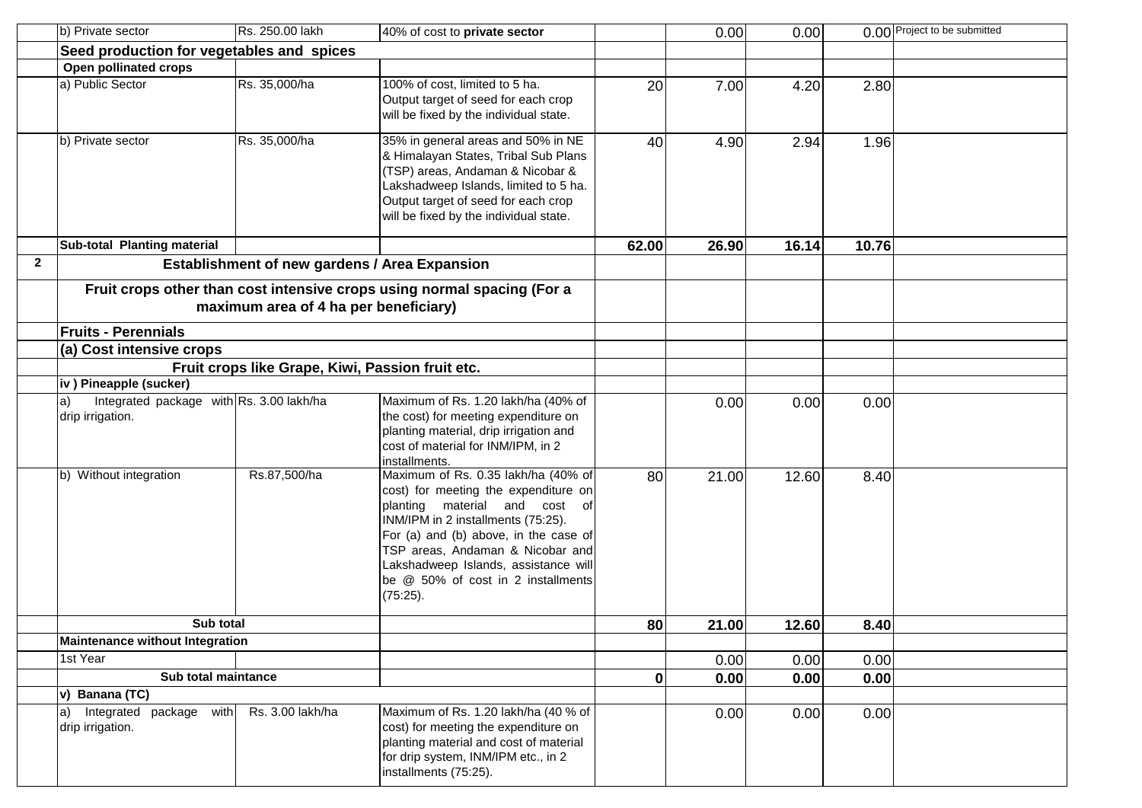|              | b) Private sector                                                  | Rs. 250.00 lakh                                  | 40% of cost to private sector                                                                                                                                                                                                                                                                                             |              | 0.00  | 0.00  |       | 0.00 Project to be submitted |
|--------------|--------------------------------------------------------------------|--------------------------------------------------|---------------------------------------------------------------------------------------------------------------------------------------------------------------------------------------------------------------------------------------------------------------------------------------------------------------------------|--------------|-------|-------|-------|------------------------------|
|              | Seed production for vegetables and spices                          |                                                  |                                                                                                                                                                                                                                                                                                                           |              |       |       |       |                              |
|              | Open pollinated crops                                              |                                                  |                                                                                                                                                                                                                                                                                                                           |              |       |       |       |                              |
|              | a) Public Sector                                                   | Rs. 35,000/ha                                    | 100% of cost, limited to 5 ha.<br>Output target of seed for each crop<br>will be fixed by the individual state.                                                                                                                                                                                                           | 20           | 7.00  | 4.20  | 2.80  |                              |
|              | b) Private sector                                                  | Rs. 35,000/ha                                    | 35% in general areas and 50% in NE<br>& Himalayan States, Tribal Sub Plans<br>(TSP) areas, Andaman & Nicobar &<br>Lakshadweep Islands, limited to 5 ha.<br>Output target of seed for each crop<br>will be fixed by the individual state.                                                                                  | 40           | 4.90  | 2.94  | 1.96  |                              |
|              | Sub-total Planting material                                        |                                                  |                                                                                                                                                                                                                                                                                                                           | 62.00        | 26.90 | 16.14 | 10.76 |                              |
| $\mathbf{2}$ |                                                                    | Establishment of new gardens / Area Expansion    |                                                                                                                                                                                                                                                                                                                           |              |       |       |       |                              |
|              |                                                                    | maximum area of 4 ha per beneficiary)            | Fruit crops other than cost intensive crops using normal spacing (For a                                                                                                                                                                                                                                                   |              |       |       |       |                              |
|              | <b>Fruits - Perennials</b>                                         |                                                  |                                                                                                                                                                                                                                                                                                                           |              |       |       |       |                              |
|              | (a) Cost intensive crops                                           |                                                  |                                                                                                                                                                                                                                                                                                                           |              |       |       |       |                              |
|              |                                                                    | Fruit crops like Grape, Kiwi, Passion fruit etc. |                                                                                                                                                                                                                                                                                                                           |              |       |       |       |                              |
|              | iv) Pineapple (sucker)                                             |                                                  | Maximum of Rs. 1.20 lakh/ha (40% of                                                                                                                                                                                                                                                                                       |              |       |       |       |                              |
|              | Integrated package with Rs. 3.00 lakh/ha<br>a)<br>drip irrigation. |                                                  | the cost) for meeting expenditure on<br>planting material, drip irrigation and<br>cost of material for INM/IPM, in 2<br>installments.                                                                                                                                                                                     |              | 0.00  | 0.00  | 0.00  |                              |
|              | b) Without integration                                             | Rs.87,500/ha                                     | Maximum of Rs. 0.35 lakh/ha (40% of<br>cost) for meeting the expenditure on<br>planting material and cost of<br>INM/IPM in 2 installments (75:25).<br>For (a) and (b) above, in the case of<br>TSP areas, Andaman & Nicobar and<br>Lakshadweep Islands, assistance will<br>be @ 50% of cost in 2 installments<br>(75:25). | 80           | 21.00 | 12.60 | 8.40  |                              |
|              | Sub total                                                          |                                                  |                                                                                                                                                                                                                                                                                                                           | 80           | 21.00 | 12.60 | 8.40  |                              |
|              | Maintenance without Integration                                    |                                                  |                                                                                                                                                                                                                                                                                                                           |              |       |       |       |                              |
|              | 1st Year                                                           |                                                  |                                                                                                                                                                                                                                                                                                                           |              | 0.00  | 0.00  | 0.00  |                              |
|              | Sub total maintance                                                |                                                  |                                                                                                                                                                                                                                                                                                                           | $\mathbf{0}$ | 0.00  | 0.00  | 0.00  |                              |
|              | v) Banana $(T\overline{C})$                                        |                                                  |                                                                                                                                                                                                                                                                                                                           |              |       |       |       |                              |
|              | Integrated package with<br>$ a\rangle$<br>drip irrigation.         | Rs. 3.00 lakh/ha                                 | Maximum of Rs. 1.20 lakh/ha (40 % of<br>cost) for meeting the expenditure on<br>planting material and cost of material<br>for drip system, INM/IPM etc., in 2<br>installments (75:25).                                                                                                                                    |              | 0.00  | 0.00  | 0.00  |                              |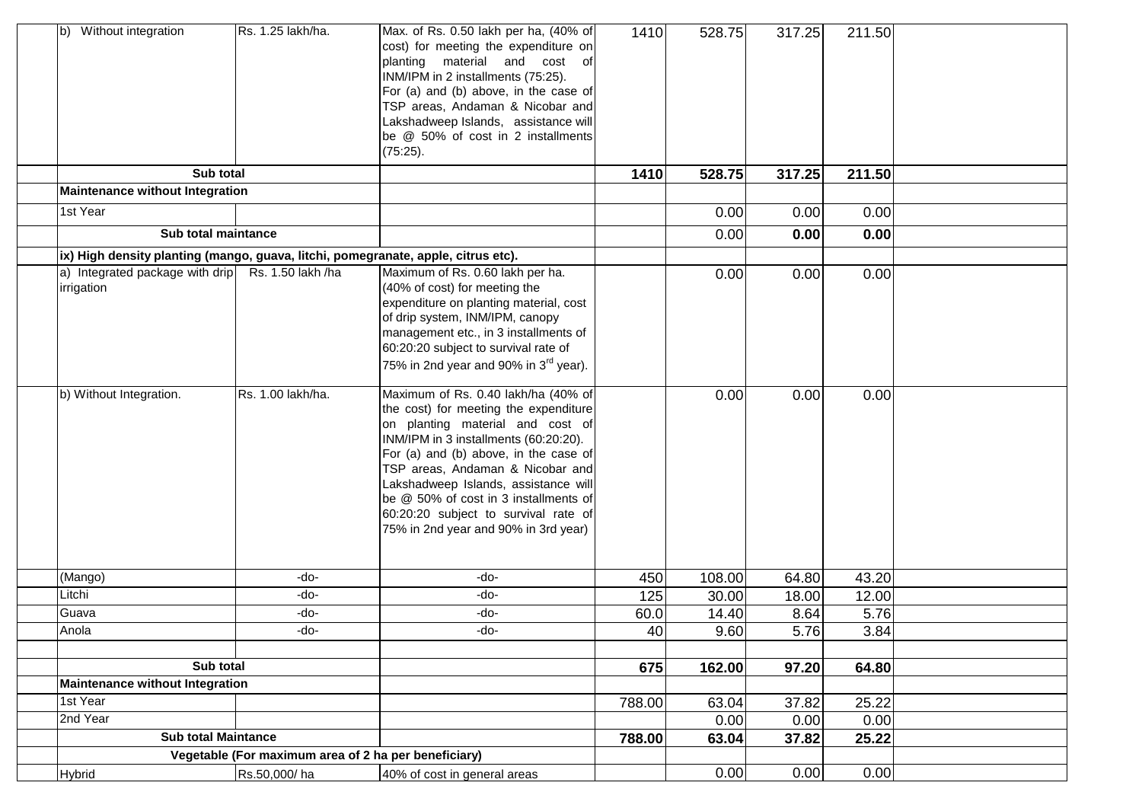| b) Without integration                                          | Rs. 1.25 lakh/ha.                                    | Max. of Rs. 0.50 lakh per ha, (40% of<br>cost) for meeting the expenditure on<br>planting material and cost of<br>INM/IPM in 2 installments (75:25).<br>For (a) and (b) above, in the case of<br>TSP areas, Andaman & Nicobar and<br>Lakshadweep Islands, assistance will<br>be @ 50% of cost in 2 installments<br>(75:25).                                                                             | 1410   | 528.75 | 317.25 | 211.50 |  |
|-----------------------------------------------------------------|------------------------------------------------------|---------------------------------------------------------------------------------------------------------------------------------------------------------------------------------------------------------------------------------------------------------------------------------------------------------------------------------------------------------------------------------------------------------|--------|--------|--------|--------|--|
|                                                                 | Sub total                                            |                                                                                                                                                                                                                                                                                                                                                                                                         | 1410   | 528.75 | 317.25 | 211.50 |  |
| <b>Maintenance without Integration</b>                          |                                                      |                                                                                                                                                                                                                                                                                                                                                                                                         |        |        |        |        |  |
| 1st Year                                                        |                                                      |                                                                                                                                                                                                                                                                                                                                                                                                         |        | 0.00   | 0.00   | 0.00   |  |
|                                                                 | Sub total maintance                                  |                                                                                                                                                                                                                                                                                                                                                                                                         |        | 0.00   | 0.00   | 0.00   |  |
|                                                                 |                                                      | ix) High density planting (mango, guava, litchi, pomegranate, apple, citrus etc).                                                                                                                                                                                                                                                                                                                       |        |        |        |        |  |
| a) Integrated package with drip Rs. 1.50 lakh /ha<br>irrigation |                                                      | Maximum of Rs. 0.60 lakh per ha.<br>(40% of cost) for meeting the<br>expenditure on planting material, cost<br>of drip system, INM/IPM, canopy<br>management etc., in 3 installments of<br>60:20:20 subject to survival rate of<br>75% in 2nd year and 90% in 3 <sup>rd</sup> year).                                                                                                                    |        | 0.00   | 0.00   | 0.00   |  |
| b) Without Integration.                                         | Rs. 1.00 lakh/ha.                                    | Maximum of Rs. 0.40 lakh/ha (40% of<br>the cost) for meeting the expenditure<br>on planting material and cost of<br>INM/IPM in 3 installments (60:20:20).<br>For (a) and (b) above, in the case of<br>TSP areas, Andaman & Nicobar and<br>Lakshadweep Islands, assistance will<br>be @ 50% of cost in 3 installments of<br>60:20:20 subject to survival rate of<br>75% in 2nd year and 90% in 3rd year) |        | 0.00   | 0.00   | 0.00   |  |
| (Mango)                                                         | -do-                                                 | -do-                                                                                                                                                                                                                                                                                                                                                                                                    | 450    | 108.00 | 64.80  | 43.20  |  |
| Litchi                                                          | -do-                                                 | -do-                                                                                                                                                                                                                                                                                                                                                                                                    | 125    | 30.00  | 18.00  | 12.00  |  |
| Guava                                                           | -do-                                                 | -do-                                                                                                                                                                                                                                                                                                                                                                                                    | 60.0   | 14.40  | 8.64   | 5.76   |  |
| Anola                                                           | -do-                                                 | -do-                                                                                                                                                                                                                                                                                                                                                                                                    | 40     | 9.60   | 5.76   | 3.84   |  |
|                                                                 |                                                      |                                                                                                                                                                                                                                                                                                                                                                                                         |        |        |        |        |  |
|                                                                 | Sub total                                            |                                                                                                                                                                                                                                                                                                                                                                                                         | 675    | 162.00 | 97.20  | 64.80  |  |
| <b>Maintenance without Integration</b>                          |                                                      |                                                                                                                                                                                                                                                                                                                                                                                                         |        |        |        |        |  |
| 1st Year<br>2nd Year                                            |                                                      |                                                                                                                                                                                                                                                                                                                                                                                                         | 788.00 | 63.04  | 37.82  | 25.22  |  |
|                                                                 | <b>Sub total Maintance</b>                           |                                                                                                                                                                                                                                                                                                                                                                                                         |        | 0.00   | 0.00   | 0.00   |  |
|                                                                 | Vegetable (For maximum area of 2 ha per beneficiary) |                                                                                                                                                                                                                                                                                                                                                                                                         | 788.00 | 63.04  | 37.82  | 25.22  |  |
|                                                                 | Rs.50,000/ha                                         | 40% of cost in general areas                                                                                                                                                                                                                                                                                                                                                                            |        | 0.00   | 0.00   | 0.00   |  |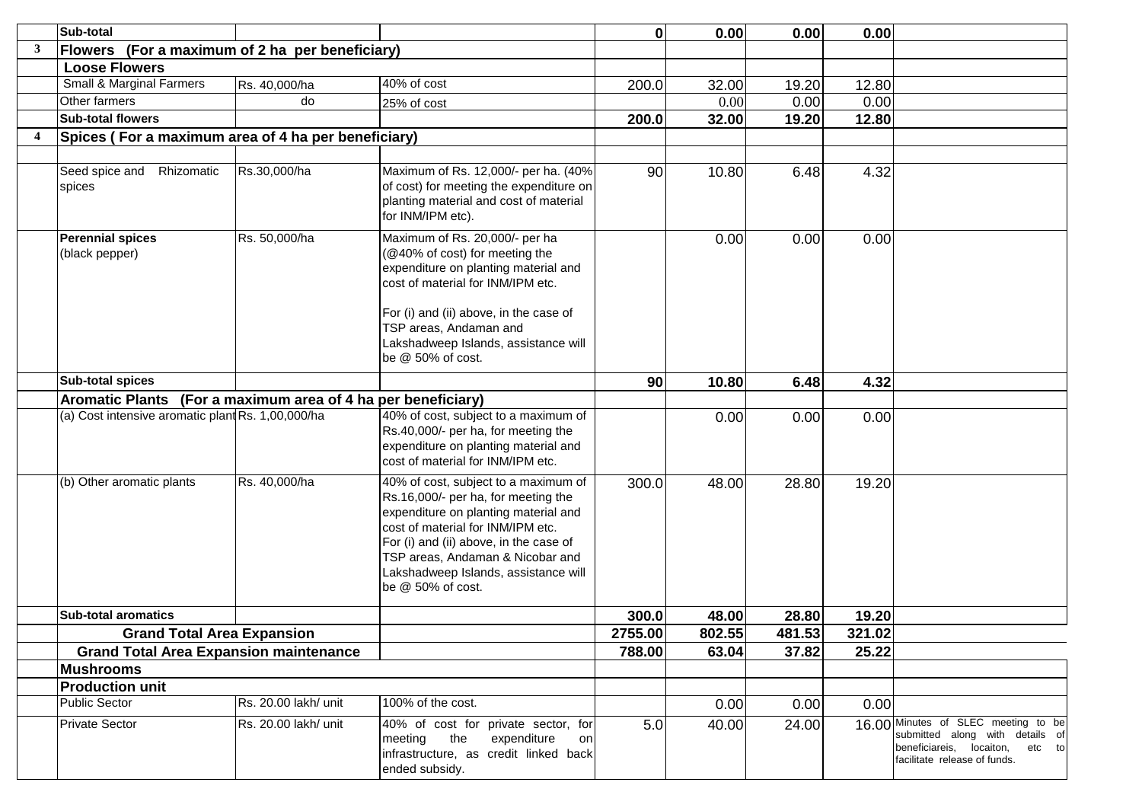|                         | Sub-total                                                    |                      |                                                                                                                                                                                                                                                                                                     | $\mathbf 0$ | 0.00   | 0.00   | 0.00   |                                                                                                                                              |
|-------------------------|--------------------------------------------------------------|----------------------|-----------------------------------------------------------------------------------------------------------------------------------------------------------------------------------------------------------------------------------------------------------------------------------------------------|-------------|--------|--------|--------|----------------------------------------------------------------------------------------------------------------------------------------------|
| 3                       | Flowers (For a maximum of 2 ha per beneficiary)              |                      |                                                                                                                                                                                                                                                                                                     |             |        |        |        |                                                                                                                                              |
|                         | <b>Loose Flowers</b>                                         |                      |                                                                                                                                                                                                                                                                                                     |             |        |        |        |                                                                                                                                              |
|                         | Small & Marginal Farmers                                     | Rs. 40,000/ha        | 40% of cost                                                                                                                                                                                                                                                                                         | 200.0       | 32.00  | 19.20  | 12.80  |                                                                                                                                              |
|                         | Other farmers                                                | do                   | 25% of cost                                                                                                                                                                                                                                                                                         |             | 0.00   | 0.00   | 0.00   |                                                                                                                                              |
|                         | <b>Sub-total flowers</b>                                     |                      |                                                                                                                                                                                                                                                                                                     | 200.0       | 32.00  | 19.20  | 12.80  |                                                                                                                                              |
| $\overline{\mathbf{4}}$ | Spices (For a maximum area of 4 ha per beneficiary)          |                      |                                                                                                                                                                                                                                                                                                     |             |        |        |        |                                                                                                                                              |
|                         |                                                              |                      |                                                                                                                                                                                                                                                                                                     |             |        |        |        |                                                                                                                                              |
|                         | Seed spice and<br>Rhizomatic<br>spices                       | Rs.30,000/ha         | Maximum of Rs. 12,000/- per ha. (40%<br>of cost) for meeting the expenditure on<br>planting material and cost of material<br>for INM/IPM etc).                                                                                                                                                      | 90          | 10.80  | 6.48   | 4.32   |                                                                                                                                              |
|                         | <b>Perennial spices</b><br>(black pepper)                    | Rs. 50,000/ha        | Maximum of Rs. 20,000/- per ha<br>(@40% of cost) for meeting the<br>expenditure on planting material and<br>cost of material for INM/IPM etc.<br>For (i) and (ii) above, in the case of<br>TSP areas, Andaman and<br>Lakshadweep Islands, assistance will<br>be @ 50% of cost.                      |             | 0.00   | 0.00   | 0.00   |                                                                                                                                              |
|                         | <b>Sub-total spices</b>                                      |                      |                                                                                                                                                                                                                                                                                                     | 90          | 10.80  | 6.48   | 4.32   |                                                                                                                                              |
|                         | Aromatic Plants (For a maximum area of 4 ha per beneficiary) |                      |                                                                                                                                                                                                                                                                                                     |             |        |        |        |                                                                                                                                              |
|                         | (a) Cost intensive aromatic plant Rs. 1,00,000/ha            |                      | 40% of cost, subject to a maximum of<br>Rs.40,000/- per ha, for meeting the<br>expenditure on planting material and<br>cost of material for INM/IPM etc.                                                                                                                                            |             | 0.00   | 0.00   | 0.00   |                                                                                                                                              |
|                         | (b) Other aromatic plants                                    | Rs. 40,000/ha        | 40% of cost, subject to a maximum of<br>Rs.16,000/- per ha, for meeting the<br>expenditure on planting material and<br>cost of material for INM/IPM etc.<br>For (i) and (ii) above, in the case of<br>TSP areas, Andaman & Nicobar and<br>Lakshadweep Islands, assistance will<br>be @ 50% of cost. | 300.0       | 48.00  | 28.80  | 19.20  |                                                                                                                                              |
|                         | <b>Sub-total aromatics</b>                                   |                      |                                                                                                                                                                                                                                                                                                     | 300.0       | 48.00  | 28.80  | 19.20  |                                                                                                                                              |
|                         | <b>Grand Total Area Expansion</b>                            |                      |                                                                                                                                                                                                                                                                                                     | 2755.00     | 802.55 | 481.53 | 321.02 |                                                                                                                                              |
|                         | <b>Grand Total Area Expansion maintenance</b>                |                      |                                                                                                                                                                                                                                                                                                     | 788.00      | 63.04  | 37.82  | 25.22  |                                                                                                                                              |
|                         | <b>Mushrooms</b>                                             |                      |                                                                                                                                                                                                                                                                                                     |             |        |        |        |                                                                                                                                              |
|                         | <b>Production unit</b>                                       |                      |                                                                                                                                                                                                                                                                                                     |             |        |        |        |                                                                                                                                              |
|                         | Public Sector                                                | Rs. 20.00 lakh/ unit | 100% of the cost.                                                                                                                                                                                                                                                                                   |             | 0.00   | 0.00   | 0.00   |                                                                                                                                              |
|                         | <b>Private Sector</b>                                        | Rs. 20.00 lakh/ unit | 40% of cost for private sector, for<br>the<br>meeting<br>expenditure<br>on<br>infrastructure, as credit linked back<br>ended subsidy.                                                                                                                                                               | 5.0         | 40.00  | 24.00  |        | 16.00 Minutes of SLEC meeting to be<br>submitted along with details of<br>beneficiareis, locaiton,<br>etc to<br>facilitate release of funds. |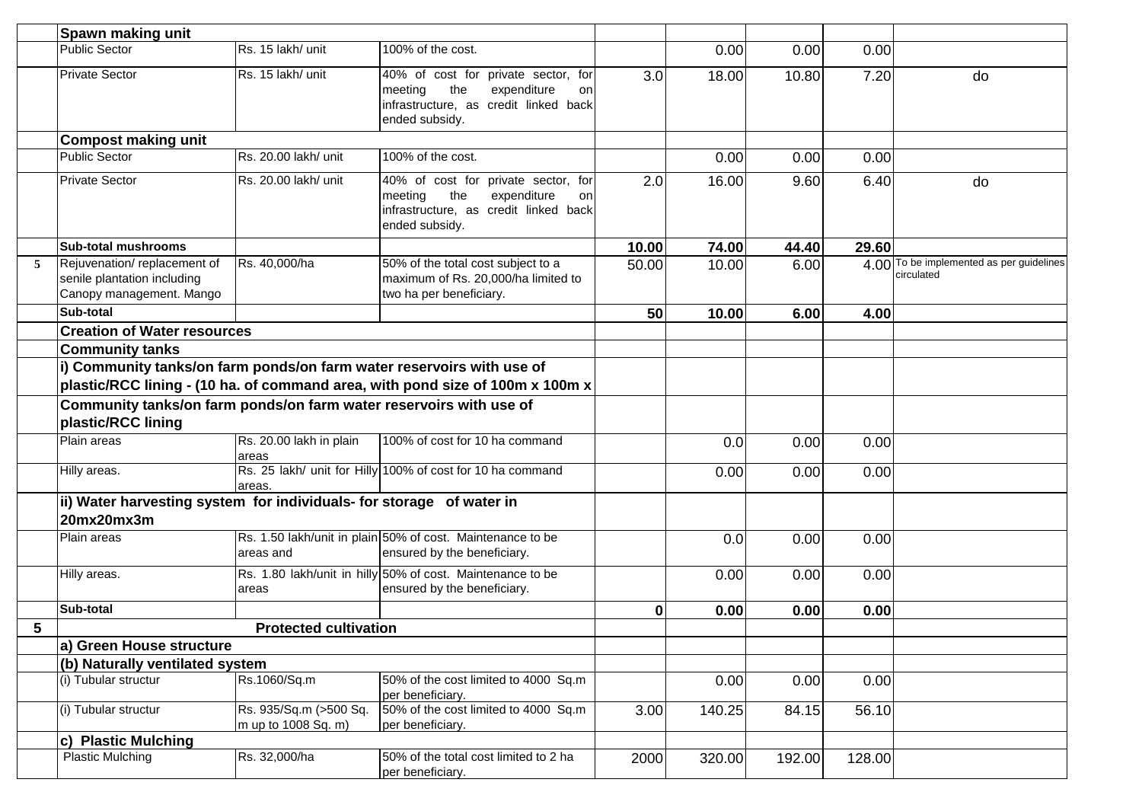|   | Spawn making unit                                                                        |                                  |                                                                                                                                       |       |        |        |        |                                                        |
|---|------------------------------------------------------------------------------------------|----------------------------------|---------------------------------------------------------------------------------------------------------------------------------------|-------|--------|--------|--------|--------------------------------------------------------|
|   | <b>Public Sector</b>                                                                     | Rs. 15 lakh/ unit                | 100% of the cost.                                                                                                                     |       | 0.00   | 0.00   | 0.00   |                                                        |
|   | <b>Private Sector</b>                                                                    | Rs. 15 lakh/ unit                | 40% of cost for private sector, for<br>the<br>expenditure<br>meeting<br>on<br>infrastructure, as credit linked back<br>ended subsidy. | 3.0   | 18.00  | 10.80  | 7.20   | do                                                     |
|   | <b>Compost making unit</b>                                                               |                                  |                                                                                                                                       |       |        |        |        |                                                        |
|   | <b>Public Sector</b>                                                                     | Rs. 20.00 lakh/ unit             | 100% of the cost.                                                                                                                     |       | 0.00   | 0.00   | 0.00   |                                                        |
|   | <b>Private Sector</b>                                                                    | Rs. 20.00 lakh/ unit             | 40% of cost for private sector, for<br>the<br>expenditure<br>meeting<br>on<br>infrastructure, as credit linked back<br>ended subsidy. | 2.0   | 16.00  | 9.60   | 6.40   | do                                                     |
|   | <b>Sub-total mushrooms</b>                                                               |                                  |                                                                                                                                       | 10.00 | 74.00  | 44.40  | 29.60  |                                                        |
| 5 | Rejuvenation/replacement of<br>senile plantation including<br>Canopy management. Mango   | Rs. 40,000/ha                    | 50% of the total cost subject to a<br>maximum of Rs. 20,000/ha limited to<br>two ha per beneficiary.                                  | 50.00 | 10.00  | 6.00   |        | 4.00 To be implemented as per guidelines<br>circulated |
|   | Sub-total                                                                                |                                  |                                                                                                                                       | 50    | 10.00  | 6.00   | 4.00   |                                                        |
|   | <b>Creation of Water resources</b>                                                       |                                  |                                                                                                                                       |       |        |        |        |                                                        |
|   | <b>Community tanks</b>                                                                   |                                  |                                                                                                                                       |       |        |        |        |                                                        |
|   | i) Community tanks/on farm ponds/on farm water reservoirs with use of                    |                                  |                                                                                                                                       |       |        |        |        |                                                        |
|   |                                                                                          |                                  | plastic/RCC lining - (10 ha. of command area, with pond size of 100m x 100m x                                                         |       |        |        |        |                                                        |
|   | Community tanks/on farm ponds/on farm water reservoirs with use of<br>plastic/RCC lining |                                  |                                                                                                                                       |       |        |        |        |                                                        |
|   | Plain areas                                                                              | Rs. 20.00 lakh in plain<br>areas | 100% of cost for 10 ha command                                                                                                        |       | 0.0    | 0.00   | 0.00   |                                                        |
|   | Hilly areas.                                                                             | areas.                           | Rs. 25 lakh/ unit for Hilly 100% of cost for 10 ha command                                                                            |       | 0.00   | 0.00   | 0.00   |                                                        |
|   | ii) Water harvesting system for individuals- for storage of water in<br>20mx20mx3m       |                                  |                                                                                                                                       |       |        |        |        |                                                        |
|   | Plain areas                                                                              | areas and                        | Rs. 1.50 lakh/unit in plain 50% of cost. Maintenance to be<br>ensured by the beneficiary.                                             |       | 0.0    | 0.00   | 0.00   |                                                        |
|   | Hilly areas.                                                                             | areas                            | Rs. 1.80 lakh/unit in hilly 50% of cost. Maintenance to be<br>ensured by the beneficiary.                                             |       | 0.00   | 0.00   | 0.00   |                                                        |
|   | Sub-total                                                                                |                                  |                                                                                                                                       | 0     | 0.00   | 0.00   | 0.00   |                                                        |
| 5 |                                                                                          | <b>Protected cultivation</b>     |                                                                                                                                       |       |        |        |        |                                                        |
|   | a) Green House structure                                                                 |                                  |                                                                                                                                       |       |        |        |        |                                                        |
|   | (b) Naturally ventilated system                                                          |                                  |                                                                                                                                       |       |        |        |        |                                                        |
|   | (i) Tubular structur                                                                     | Rs.1060/Sq.m                     | 50% of the cost limited to 4000 Sq.m<br>per beneficiary.                                                                              |       | 0.00   | 0.00   | 0.00   |                                                        |
|   | (i) Tubular structur                                                                     | Rs. 935/Sq.m (>500 Sq.           | 50% of the cost limited to 4000 Sq.m                                                                                                  | 3.00  | 140.25 | 84.15  | 56.10  |                                                        |
|   |                                                                                          | m up to 1008 Sq. m)              | per beneficiary.                                                                                                                      |       |        |        |        |                                                        |
|   | c) Plastic Mulching<br><b>Plastic Mulching</b>                                           | Rs. 32,000/ha                    | 50% of the total cost limited to 2 ha                                                                                                 | 2000  | 320.00 | 192.00 | 128.00 |                                                        |
|   |                                                                                          |                                  | per beneficiary.                                                                                                                      |       |        |        |        |                                                        |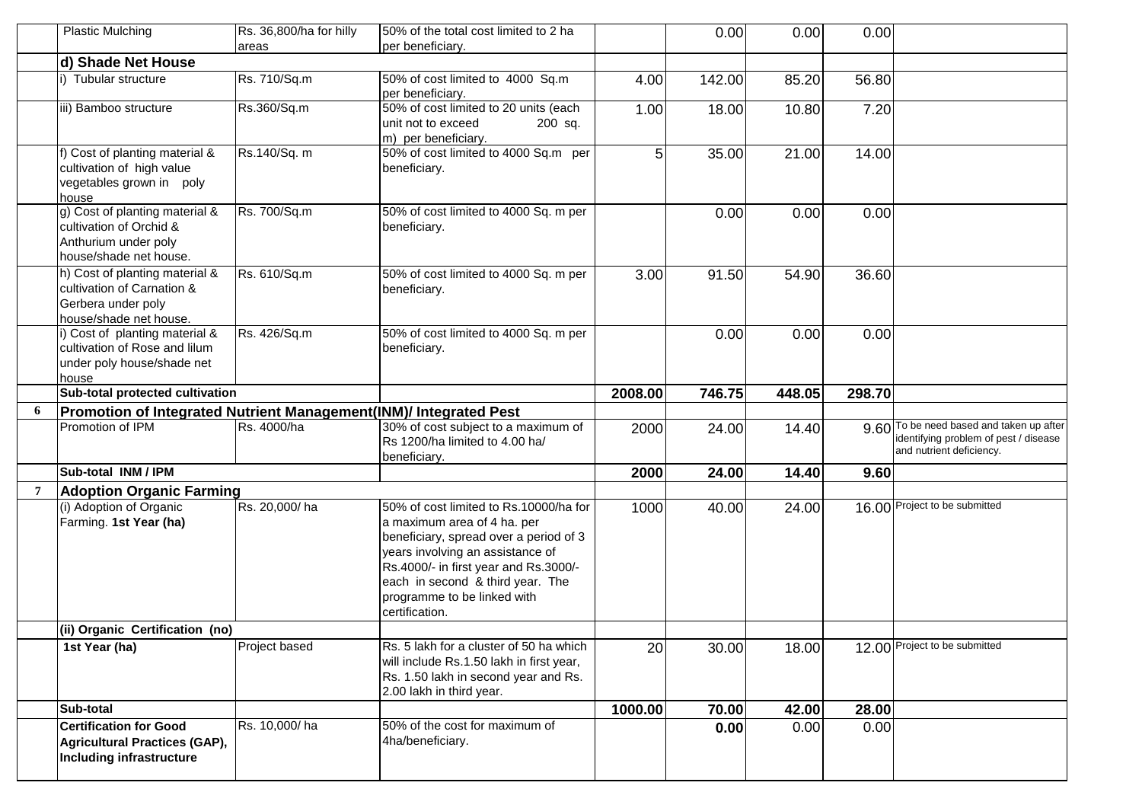|   | <b>Plastic Mulching</b>                                           | Rs. 36,800/ha for hilly | 50% of the total cost limited to 2 ha                                            |         | 0.00   | 0.00   | 0.00   |                                                                   |
|---|-------------------------------------------------------------------|-------------------------|----------------------------------------------------------------------------------|---------|--------|--------|--------|-------------------------------------------------------------------|
|   | d) Shade Net House                                                | areas                   | per beneficiary.                                                                 |         |        |        |        |                                                                   |
|   | i) Tubular structure                                              | Rs. 710/Sq.m            | 50% of cost limited to 4000 Sq.m                                                 |         |        |        |        |                                                                   |
|   |                                                                   |                         | per beneficiary.                                                                 | 4.00    | 142.00 | 85.20  | 56.80  |                                                                   |
|   | iii) Bamboo structure                                             | Rs.360/Sq.m             | 50% of cost limited to 20 units (each                                            | 1.00    | 18.00  | 10.80  | 7.20   |                                                                   |
|   |                                                                   |                         | unit not to exceed<br>200 sq.                                                    |         |        |        |        |                                                                   |
|   |                                                                   |                         | m) per beneficiary.                                                              |         |        |        |        |                                                                   |
|   | f) Cost of planting material &                                    | Rs.140/Sq. m            | 50% of cost limited to 4000 Sq.m per                                             | 51      | 35.00  | 21.00  | 14.00  |                                                                   |
|   | cultivation of high value                                         |                         | beneficiary.                                                                     |         |        |        |        |                                                                   |
|   | vegetables grown in poly<br>house                                 |                         |                                                                                  |         |        |        |        |                                                                   |
|   | g) Cost of planting material &                                    | Rs. 700/Sq.m            | 50% of cost limited to 4000 Sq. m per                                            |         | 0.00   | 0.00   | 0.00   |                                                                   |
|   | cultivation of Orchid &                                           |                         | beneficiary.                                                                     |         |        |        |        |                                                                   |
|   | Anthurium under poly                                              |                         |                                                                                  |         |        |        |        |                                                                   |
|   | house/shade net house.                                            |                         |                                                                                  |         |        |        |        |                                                                   |
|   | h) Cost of planting material &                                    | Rs. 610/Sq.m            | 50% of cost limited to 4000 Sq. m per                                            | 3.00    | 91.50  | 54.90  | 36.60  |                                                                   |
|   | cultivation of Carnation &                                        |                         | beneficiary.                                                                     |         |        |        |        |                                                                   |
|   | Gerbera under poly<br>house/shade net house.                      |                         |                                                                                  |         |        |        |        |                                                                   |
|   | i) Cost of planting material &                                    | Rs. 426/Sq.m            | 50% of cost limited to 4000 Sq. m per                                            |         | 0.00   | 0.00   | 0.00   |                                                                   |
|   | cultivation of Rose and lilum                                     |                         | beneficiary.                                                                     |         |        |        |        |                                                                   |
|   | under poly house/shade net                                        |                         |                                                                                  |         |        |        |        |                                                                   |
|   | house                                                             |                         |                                                                                  |         |        |        |        |                                                                   |
|   | Sub-total protected cultivation                                   |                         |                                                                                  | 2008.00 | 746.75 | 448.05 | 298.70 |                                                                   |
| 6 | Promotion of Integrated Nutrient Management(INM)/ Integrated Pest |                         |                                                                                  |         |        |        |        |                                                                   |
|   |                                                                   |                         |                                                                                  |         |        |        |        |                                                                   |
|   | Promotion of IPM                                                  | Rs. 4000/ha             | 30% of cost subject to a maximum of                                              | 2000    | 24.00  | 14.40  |        |                                                                   |
|   |                                                                   |                         | Rs 1200/ha limited to 4.00 ha/                                                   |         |        |        |        | identifying problem of pest / disease<br>and nutrient deficiency. |
|   |                                                                   |                         | beneficiary.                                                                     |         |        |        |        |                                                                   |
|   | Sub-total INM / IPM                                               |                         |                                                                                  | 2000    | 24.00  | 14.40  | 9.60   |                                                                   |
|   | <b>Adoption Organic Farming</b>                                   |                         |                                                                                  |         |        |        |        |                                                                   |
|   | (i) Adoption of Organic                                           | Rs. 20,000/ha           | 50% of cost limited to Rs.10000/ha for                                           | 1000    | 40.00  | 24.00  |        | 16.00 Project to be submitted                                     |
|   | Farming. 1st Year (ha)                                            |                         | a maximum area of 4 ha. per<br>beneficiary, spread over a period of 3            |         |        |        |        |                                                                   |
|   |                                                                   |                         | years involving an assistance of                                                 |         |        |        |        |                                                                   |
|   |                                                                   |                         | Rs.4000/- in first year and Rs.3000/-                                            |         |        |        |        |                                                                   |
|   |                                                                   |                         | each in second & third year. The                                                 |         |        |        |        |                                                                   |
|   |                                                                   |                         | programme to be linked with                                                      |         |        |        |        |                                                                   |
|   |                                                                   |                         | certification.                                                                   |         |        |        |        |                                                                   |
|   | (ii) Organic Certification (no)                                   |                         |                                                                                  |         |        |        |        |                                                                   |
|   | 1st Year (ha)                                                     | Project based           | Rs. 5 lakh for a cluster of 50 ha which                                          | 20      | 30.00  | 18.00  |        | 12.00 Project to be submitted                                     |
|   |                                                                   |                         | will include Rs.1.50 lakh in first year,<br>Rs. 1.50 lakh in second year and Rs. |         |        |        |        |                                                                   |
|   |                                                                   |                         | 2.00 lakh in third year.                                                         |         |        |        |        |                                                                   |
|   | Sub-total                                                         |                         |                                                                                  | 1000.00 | 70.00  | 42.00  | 28.00  |                                                                   |
|   | <b>Certification for Good</b>                                     | Rs. 10,000/ha           | 50% of the cost for maximum of                                                   |         | 0.00   | 0.00   | 0.00   |                                                                   |
|   | <b>Agricultural Practices (GAP),</b>                              |                         | 4ha/beneficiary.                                                                 |         |        |        |        |                                                                   |
|   | Including infrastructure                                          |                         |                                                                                  |         |        |        |        | 9.60 To be need based and taken up after                          |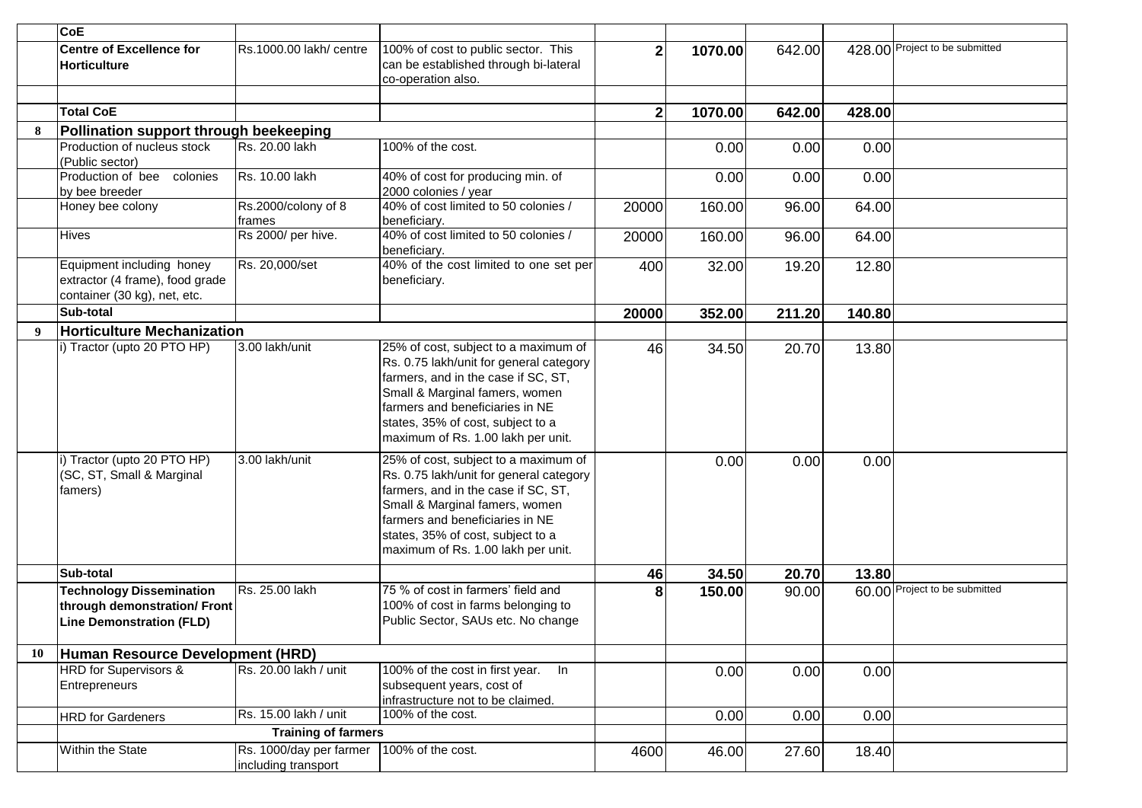|    | <b>CoE</b>                                                                                         |                                                |                                                                                                                                                                                                                                                                        |              |         |        |        |                                |
|----|----------------------------------------------------------------------------------------------------|------------------------------------------------|------------------------------------------------------------------------------------------------------------------------------------------------------------------------------------------------------------------------------------------------------------------------|--------------|---------|--------|--------|--------------------------------|
|    | <b>Centre of Excellence for</b><br>Horticulture                                                    | Rs.1000.00 lakh/ centre                        | 100% of cost to public sector. This<br>can be established through bi-lateral<br>co-operation also.                                                                                                                                                                     | $\mathbf{2}$ | 1070.00 | 642.00 |        | 428.00 Project to be submitted |
|    |                                                                                                    |                                                |                                                                                                                                                                                                                                                                        |              |         |        |        |                                |
|    | <b>Total CoE</b>                                                                                   |                                                |                                                                                                                                                                                                                                                                        | $\mathbf{2}$ | 1070.00 | 642.00 | 428.00 |                                |
| 8  | Pollination support through beekeeping                                                             |                                                |                                                                                                                                                                                                                                                                        |              |         |        |        |                                |
|    | Production of nucleus stock<br>(Public sector)                                                     | Rs. 20.00 lakh                                 | 100% of the cost.                                                                                                                                                                                                                                                      |              | 0.00    | 0.00   | 0.00   |                                |
|    | Production of bee colonies<br>by bee breeder                                                       | Rs. 10.00 lakh                                 | 40% of cost for producing min. of<br>2000 colonies / year                                                                                                                                                                                                              |              | 0.00    | 0.00   | 0.00   |                                |
|    | Honey bee colony                                                                                   | Rs.2000/colony of 8<br>frames                  | 40% of cost limited to 50 colonies /<br>beneficiary.                                                                                                                                                                                                                   | 20000        | 160.00  | 96.00  | 64.00  |                                |
|    | <b>Hives</b>                                                                                       | Rs 2000/ per hive.                             | 40% of cost limited to 50 colonies /<br>beneficiary.                                                                                                                                                                                                                   | 20000        | 160.00  | 96.00  | 64.00  |                                |
|    | Equipment including honey<br>extractor (4 frame), food grade<br>container (30 kg), net, etc.       | Rs. 20,000/set                                 | 40% of the cost limited to one set per<br>beneficiary.                                                                                                                                                                                                                 | 400          | 32.00   | 19.20  | 12.80  |                                |
|    | Sub-total                                                                                          |                                                |                                                                                                                                                                                                                                                                        | 20000        | 352.00  | 211.20 | 140.80 |                                |
| 9  | <b>Horticulture Mechanization</b>                                                                  |                                                |                                                                                                                                                                                                                                                                        |              |         |        |        |                                |
|    | i) Tractor (upto 20 PTO HP)                                                                        | 3.00 lakh/unit                                 | 25% of cost, subject to a maximum of<br>Rs. 0.75 lakh/unit for general category<br>farmers, and in the case if SC, ST,<br>Small & Marginal famers, women<br>farmers and beneficiaries in NE<br>states, 35% of cost, subject to a<br>maximum of Rs. 1.00 lakh per unit. | 46           | 34.50   | 20.70  | 13.80  |                                |
|    | i) Tractor (upto 20 PTO HP)<br>(SC, ST, Small & Marginal<br>famers)                                | 3.00 lakh/unit                                 | 25% of cost, subject to a maximum of<br>Rs. 0.75 lakh/unit for general category<br>farmers, and in the case if SC, ST,<br>Small & Marginal famers, women<br>farmers and beneficiaries in NE<br>states, 35% of cost, subject to a<br>maximum of Rs. 1.00 lakh per unit. |              | 0.00    | 0.00   | 0.00   |                                |
|    | Sub-total                                                                                          |                                                |                                                                                                                                                                                                                                                                        | 46           | 34.50   | 20.70  | 13.80  |                                |
|    | <b>Technology Dissemination</b><br>through demonstration/ Front<br><b>Line Demonstration (FLD)</b> | Rs. 25.00 lakh                                 | 75 % of cost in farmers' field and<br>100% of cost in farms belonging to<br>Public Sector, SAUs etc. No change                                                                                                                                                         | 8            | 150.00  | 90.00  |        | 60.00 Project to be submitted  |
| 10 | Human Resource Development (HRD)                                                                   |                                                |                                                                                                                                                                                                                                                                        |              |         |        |        |                                |
|    | HRD for Supervisors &<br><b>Entrepreneurs</b>                                                      | Rs. 20.00 lakh / unit                          | 100% of the cost in first year. In<br>subsequent years, cost of<br>infrastructure not to be claimed.                                                                                                                                                                   |              | 0.00    | 0.00   | 0.00   |                                |
|    | <b>HRD</b> for Gardeners                                                                           | Rs. 15.00 lakh / unit                          | 100% of the cost.                                                                                                                                                                                                                                                      |              | 0.00    | 0.00   | 0.00   |                                |
|    |                                                                                                    | <b>Training of farmers</b>                     |                                                                                                                                                                                                                                                                        |              |         |        |        |                                |
|    | Within the State                                                                                   | Rs. 1000/day per farmer<br>including transport | 100% of the cost.                                                                                                                                                                                                                                                      | 4600         | 46.00   | 27.60  | 18.40  |                                |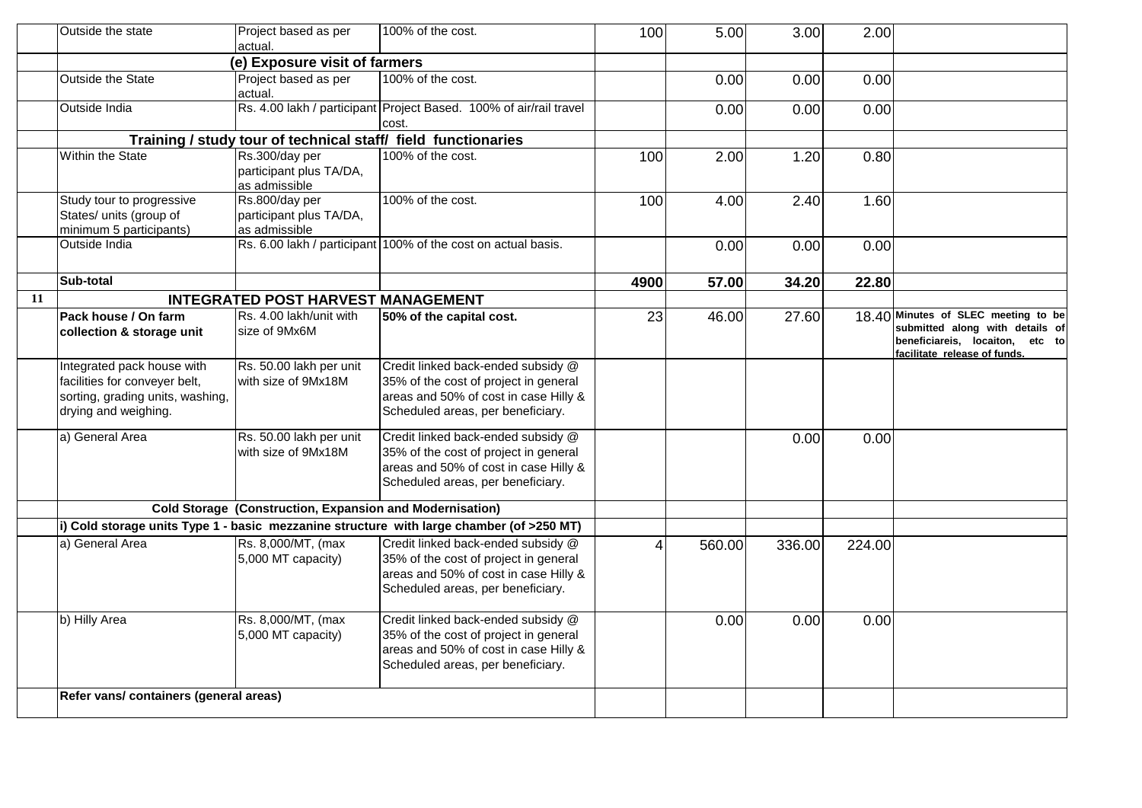|    | Outside the state                      | Project based as per<br>actual.                                 | 100% of the cost.                                                                                                                                         | 100  | 5.00   | 3.00   | 2.00   |                                                                                                    |
|----|----------------------------------------|-----------------------------------------------------------------|-----------------------------------------------------------------------------------------------------------------------------------------------------------|------|--------|--------|--------|----------------------------------------------------------------------------------------------------|
|    |                                        | (e) Exposure visit of farmers                                   |                                                                                                                                                           |      |        |        |        |                                                                                                    |
|    | Outside the State                      | Project based as per<br>actual.                                 | 100% of the cost.                                                                                                                                         |      | 0.00   | 0.00   | 0.00   |                                                                                                    |
|    | Outside India                          |                                                                 | Rs. 4.00 lakh / participant Project Based. 100% of air/rail travel<br>cost.                                                                               |      | 0.00   | 0.00   | 0.00   |                                                                                                    |
|    |                                        |                                                                 | Training / study tour of technical staff/ field functionaries                                                                                             |      |        |        |        |                                                                                                    |
|    | Within the State                       | Rs.300/day per                                                  | 100% of the cost.                                                                                                                                         | 100  | 2.00   | 1.20   | 0.80   |                                                                                                    |
|    |                                        | participant plus TA/DA,                                         |                                                                                                                                                           |      |        |        |        |                                                                                                    |
|    |                                        | as admissible                                                   |                                                                                                                                                           |      |        |        |        |                                                                                                    |
|    | Study tour to progressive              | Rs.800/day per                                                  | 100% of the cost.                                                                                                                                         | 100  | 4.00   | 2.40   | 1.60   |                                                                                                    |
|    | States/ units (group of                | participant plus TA/DA,                                         |                                                                                                                                                           |      |        |        |        |                                                                                                    |
|    | minimum 5 participants)                | as admissible                                                   | Rs. 6.00 lakh / participant 100% of the cost on actual basis.                                                                                             |      |        |        |        |                                                                                                    |
|    | Outside India                          |                                                                 |                                                                                                                                                           |      | 0.00   | 0.00   | 0.00   |                                                                                                    |
|    | Sub-total                              |                                                                 |                                                                                                                                                           | 4900 | 57.00  | 34.20  | 22.80  |                                                                                                    |
| 11 |                                        | <b>INTEGRATED POST HARVEST MANAGEMENT</b>                       |                                                                                                                                                           |      |        |        |        |                                                                                                    |
|    | Pack house / On farm                   | Rs. 4.00 lakh/unit with                                         | 50% of the capital cost.                                                                                                                                  | 23   | 46.00  | 27.60  |        | 18.40 Minutes of SLEC meeting to be                                                                |
|    | collection & storage unit              | size of 9Mx6M                                                   |                                                                                                                                                           |      |        |        |        | submitted along with details of<br>beneficiareis, locaiton, etc to<br>facilitate release of funds. |
|    | Integrated pack house with             | Rs. 50.00 lakh per unit                                         | Credit linked back-ended subsidy @                                                                                                                        |      |        |        |        |                                                                                                    |
|    | facilities for conveyer belt,          | with size of 9Mx18M                                             | 35% of the cost of project in general                                                                                                                     |      |        |        |        |                                                                                                    |
|    | sorting, grading units, washing,       |                                                                 | areas and 50% of cost in case Hilly &                                                                                                                     |      |        |        |        |                                                                                                    |
|    | drying and weighing.                   |                                                                 | Scheduled areas, per beneficiary.                                                                                                                         |      |        |        |        |                                                                                                    |
|    | a) General Area                        | Rs. 50.00 lakh per unit                                         | Credit linked back-ended subsidy @                                                                                                                        |      |        | 0.00   | 0.00   |                                                                                                    |
|    |                                        | with size of 9Mx18M                                             | 35% of the cost of project in general                                                                                                                     |      |        |        |        |                                                                                                    |
|    |                                        |                                                                 | areas and 50% of cost in case Hilly &                                                                                                                     |      |        |        |        |                                                                                                    |
|    |                                        |                                                                 | Scheduled areas, per beneficiary.                                                                                                                         |      |        |        |        |                                                                                                    |
|    |                                        |                                                                 |                                                                                                                                                           |      |        |        |        |                                                                                                    |
|    |                                        | <b>Cold Storage (Construction, Expansion and Modernisation)</b> |                                                                                                                                                           |      |        |        |        |                                                                                                    |
|    |                                        |                                                                 | (i) Cold storage units Type 1 - basic mezzanine structure with large chamber (of >250 MT)                                                                 |      |        |        |        |                                                                                                    |
|    | a) General Area                        | Rs. 8,000/MT, (max<br>5,000 MT capacity)                        | Credit linked back-ended subsidy @<br>35% of the cost of project in general<br>areas and 50% of cost in case Hilly &<br>Scheduled areas, per beneficiary. | Δ    | 560.00 | 336.00 | 224.00 |                                                                                                    |
|    |                                        |                                                                 |                                                                                                                                                           |      |        |        |        |                                                                                                    |
|    | b) Hilly Area                          | Rs. 8,000/MT, (max<br>5,000 MT capacity)                        | Credit linked back-ended subsidy @<br>35% of the cost of project in general<br>areas and 50% of cost in case Hilly &<br>Scheduled areas, per beneficiary. |      | 0.00   | 0.00   | 0.00   |                                                                                                    |
|    | Refer vans/ containers (general areas) |                                                                 |                                                                                                                                                           |      |        |        |        |                                                                                                    |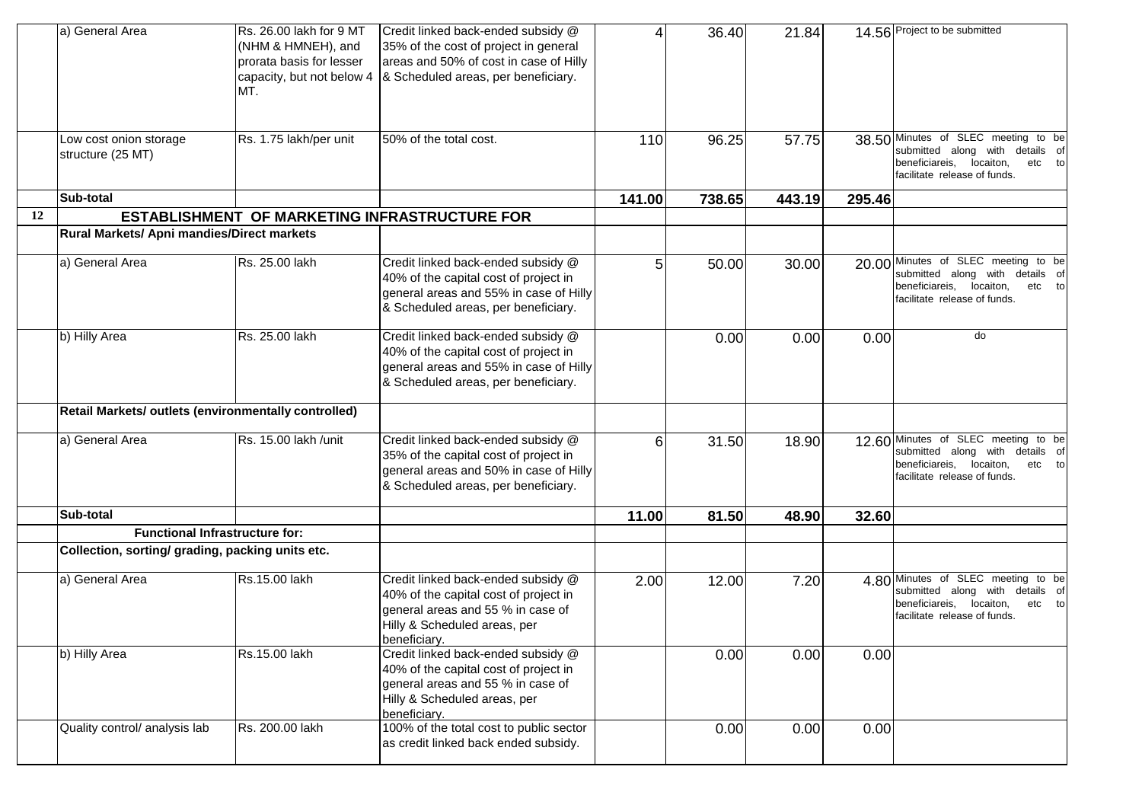|    | a) General Area                                      | Rs. 26.00 lakh for 9 MT  | Credit linked back-ended subsidy @                                              | Δ      | 36.40  | 21.84  |        | 14.56 Project to be submitted                                          |
|----|------------------------------------------------------|--------------------------|---------------------------------------------------------------------------------|--------|--------|--------|--------|------------------------------------------------------------------------|
|    |                                                      | (NHM & HMNEH), and       | 35% of the cost of project in general                                           |        |        |        |        |                                                                        |
|    |                                                      | prorata basis for lesser | areas and 50% of cost in case of Hilly                                          |        |        |        |        |                                                                        |
|    |                                                      |                          | capacity, but not below $4 \,   \, 8$ Scheduled areas, per beneficiary.         |        |        |        |        |                                                                        |
|    |                                                      | MT.                      |                                                                                 |        |        |        |        |                                                                        |
|    |                                                      |                          |                                                                                 |        |        |        |        |                                                                        |
|    |                                                      |                          |                                                                                 |        |        |        |        |                                                                        |
|    | Low cost onion storage                               | Rs. 1.75 lakh/per unit   | 50% of the total cost.                                                          | 110    | 96.25  | 57.75  |        | 38.50 Minutes of SLEC meeting to be<br>submitted along with details of |
|    | structure (25 MT)                                    |                          |                                                                                 |        |        |        |        | beneficiareis, locaiton,<br>etc to                                     |
|    |                                                      |                          |                                                                                 |        |        |        |        | facilitate release of funds.                                           |
|    | Sub-total                                            |                          |                                                                                 | 141.00 | 738.65 | 443.19 | 295.46 |                                                                        |
| 12 |                                                      |                          | <b>ESTABLISHMENT OF MARKETING INFRASTRUCTURE FOR</b>                            |        |        |        |        |                                                                        |
|    | Rural Markets/ Apni mandies/Direct markets           |                          |                                                                                 |        |        |        |        |                                                                        |
|    | a) General Area                                      | Rs. 25.00 lakh           | Credit linked back-ended subsidy @                                              | 5      | 50.00  | 30.00  | 20.00  | Minutes of SLEC meeting to be                                          |
|    |                                                      |                          | 40% of the capital cost of project in                                           |        |        |        |        | submitted along with details of                                        |
|    |                                                      |                          | general areas and 55% in case of Hilly                                          |        |        |        |        | beneficiareis, locaiton,<br>etc to<br>facilitate release of funds.     |
|    |                                                      |                          | & Scheduled areas, per beneficiary.                                             |        |        |        |        |                                                                        |
|    | b) Hilly Area                                        | Rs. 25.00 lakh           | Credit linked back-ended subsidy @                                              |        | 0.00   | 0.00   | 0.00   | do                                                                     |
|    |                                                      |                          | 40% of the capital cost of project in                                           |        |        |        |        |                                                                        |
|    |                                                      |                          | general areas and 55% in case of Hilly                                          |        |        |        |        |                                                                        |
|    |                                                      |                          | & Scheduled areas, per beneficiary.                                             |        |        |        |        |                                                                        |
|    |                                                      |                          |                                                                                 |        |        |        |        |                                                                        |
|    | Retail Markets/ outlets (environmentally controlled) |                          |                                                                                 |        |        |        |        |                                                                        |
|    | a) General Area                                      | Rs. 15.00 lakh /unit     | Credit linked back-ended subsidy @                                              | 6      | 31.50  | 18.90  |        | 12.60 Minutes of SLEC meeting to be                                    |
|    |                                                      |                          | 35% of the capital cost of project in                                           |        |        |        |        | submitted along with details of<br>beneficiareis, locaiton,<br>etc to  |
|    |                                                      |                          | general areas and 50% in case of Hilly                                          |        |        |        |        | facilitate release of funds.                                           |
|    |                                                      |                          | & Scheduled areas, per beneficiary.                                             |        |        |        |        |                                                                        |
|    | Sub-total                                            |                          |                                                                                 | 11.00  | 81.50  | 48.90  | 32.60  |                                                                        |
|    | <b>Functional Infrastructure for:</b>                |                          |                                                                                 |        |        |        |        |                                                                        |
|    | Collection, sorting/ grading, packing units etc.     |                          |                                                                                 |        |        |        |        |                                                                        |
|    | a) General Area                                      | Rs.15.00 lakh            | Credit linked back-ended subsidy @                                              | 2.00   | 12.00  | 7.20   |        | 4.80 Minutes of SLEC meeting to be                                     |
|    |                                                      |                          | 40% of the capital cost of project in                                           |        |        |        |        | submitted along with details of                                        |
|    |                                                      |                          | general areas and 55 % in case of                                               |        |        |        |        | beneficiareis, locaiton,<br>etc to                                     |
|    |                                                      |                          | Hilly & Scheduled areas, per                                                    |        |        |        |        | facilitate release of funds.                                           |
|    |                                                      |                          | beneficiary.                                                                    |        |        |        |        |                                                                        |
|    | b) Hilly Area                                        | Rs.15.00 lakh            | Credit linked back-ended subsidy @                                              |        | 0.00   | 0.00   | 0.00   |                                                                        |
|    |                                                      |                          | 40% of the capital cost of project in                                           |        |        |        |        |                                                                        |
|    |                                                      |                          | general areas and 55 % in case of                                               |        |        |        |        |                                                                        |
|    |                                                      |                          | Hilly & Scheduled areas, per                                                    |        |        |        |        |                                                                        |
|    |                                                      |                          | beneficiary.                                                                    |        |        |        |        |                                                                        |
|    | Quality control/ analysis lab                        | Rs. 200.00 lakh          | 100% of the total cost to public sector<br>as credit linked back ended subsidy. |        | 0.00   | 0.00   | 0.00   |                                                                        |
|    |                                                      |                          |                                                                                 |        |        |        |        |                                                                        |
|    |                                                      |                          |                                                                                 |        |        |        |        |                                                                        |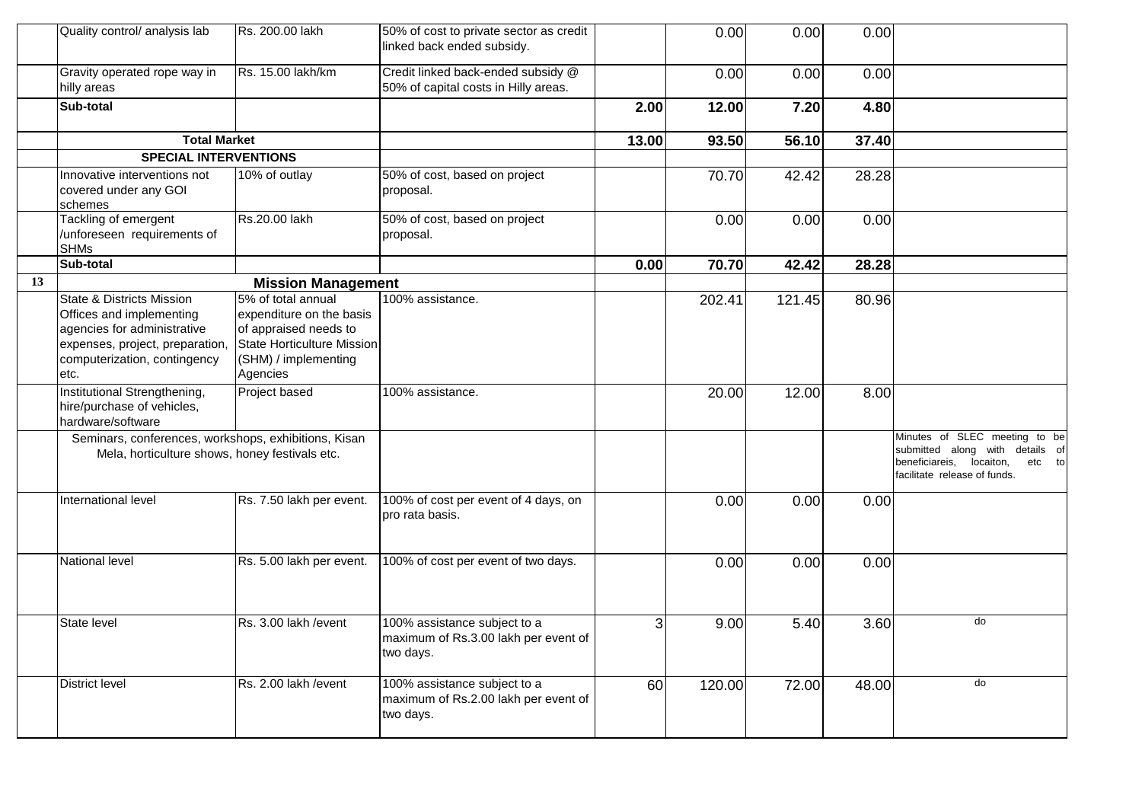|    | Quality control/ analysis lab                                                                                                                                              | Rs. 200.00 lakh                                                                                                                           | 50% of cost to private sector as credit<br>linked back ended subsidy.             |       | 0.00   | 0.00   | 0.00  |                                                                                                                                           |
|----|----------------------------------------------------------------------------------------------------------------------------------------------------------------------------|-------------------------------------------------------------------------------------------------------------------------------------------|-----------------------------------------------------------------------------------|-------|--------|--------|-------|-------------------------------------------------------------------------------------------------------------------------------------------|
|    | Gravity operated rope way in<br>hilly areas                                                                                                                                | Rs. 15.00 lakh/km                                                                                                                         | Credit linked back-ended subsidy @<br>50% of capital costs in Hilly areas.        |       | 0.00   | 0.00   | 0.00  |                                                                                                                                           |
|    | Sub-total                                                                                                                                                                  |                                                                                                                                           |                                                                                   | 2.00  | 12.00  | 7.20   | 4.80  |                                                                                                                                           |
|    | <b>Total Market</b>                                                                                                                                                        |                                                                                                                                           |                                                                                   | 13.00 | 93.50  | 56.10  | 37.40 |                                                                                                                                           |
|    | <b>SPECIAL INTERVENTIONS</b>                                                                                                                                               |                                                                                                                                           |                                                                                   |       |        |        |       |                                                                                                                                           |
|    | Innovative interventions not<br>covered under any GOI<br>schemes                                                                                                           | 10% of outlay                                                                                                                             | 50% of cost, based on project<br>proposal.                                        |       | 70.70  | 42.42  | 28.28 |                                                                                                                                           |
|    | Tackling of emergent<br>/unforeseen requirements of<br><b>SHMs</b>                                                                                                         | Rs.20.00 lakh                                                                                                                             | 50% of cost, based on project<br>proposal.                                        |       | 0.00   | 0.00   | 0.00  |                                                                                                                                           |
|    | Sub-total                                                                                                                                                                  |                                                                                                                                           |                                                                                   | 0.00  | 70.70  | 42.42  | 28.28 |                                                                                                                                           |
| 13 |                                                                                                                                                                            | <b>Mission Management</b>                                                                                                                 |                                                                                   |       |        |        |       |                                                                                                                                           |
|    | <b>State &amp; Districts Mission</b><br>Offices and implementing<br>agencies for administrative<br>expenses, project, preparation,<br>computerization, contingency<br>etc. | 5% of total annual<br>expenditure on the basis<br>of appraised needs to<br>State Horticulture Mission<br>(SHM) / implementing<br>Agencies | 100% assistance.                                                                  |       | 202.41 | 121.45 | 80.96 |                                                                                                                                           |
|    | Institutional Strengthening,<br>hire/purchase of vehicles,<br>hardware/software                                                                                            | Project based                                                                                                                             | 100% assistance.                                                                  |       | 20.00  | 12.00  | 8.00  |                                                                                                                                           |
|    | Seminars, conferences, workshops, exhibitions, Kisan<br>Mela, horticulture shows, honey festivals etc.                                                                     |                                                                                                                                           |                                                                                   |       |        |        |       | Minutes of SLEC meeting to be<br>submitted along with details of<br>beneficiareis,<br>locaiton,<br>etc to<br>facilitate release of funds. |
|    | International level                                                                                                                                                        | Rs. 7.50 lakh per event.                                                                                                                  | 100% of cost per event of 4 days, on<br>pro rata basis.                           |       | 0.00   | 0.00   | 0.00  |                                                                                                                                           |
|    | National level                                                                                                                                                             | Rs. 5.00 lakh per event.                                                                                                                  | 100% of cost per event of two days.                                               |       | 0.00   | 0.00   | 0.00  |                                                                                                                                           |
|    | State level                                                                                                                                                                | Rs. 3.00 lakh / event                                                                                                                     | 100% assistance subject to a<br>maximum of Rs.3.00 lakh per event of<br>two days. | 3     | 9.00   | 5.40   | 3.60  | do                                                                                                                                        |
|    | District level                                                                                                                                                             | Rs. 2.00 lakh / event                                                                                                                     | 100% assistance subject to a<br>maximum of Rs.2.00 lakh per event of<br>two days. | 60    | 120.00 | 72.00  | 48.00 | do                                                                                                                                        |